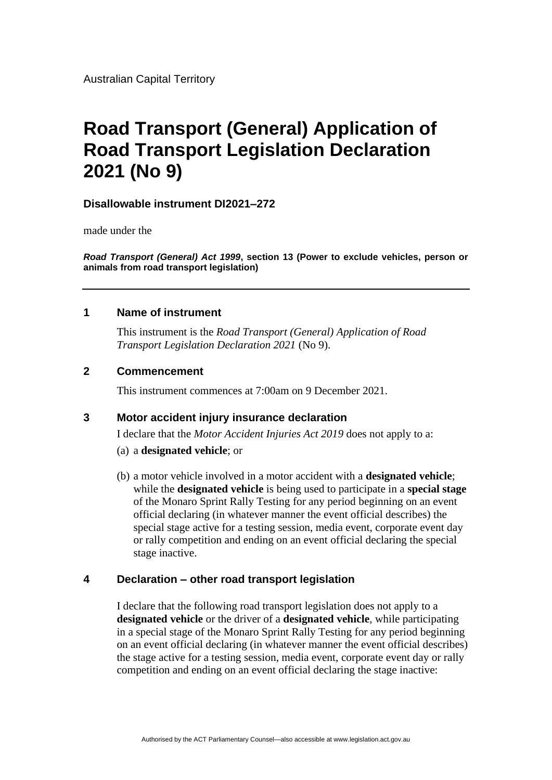Australian Capital Territory

# **Road Transport (General) Application of Road Transport Legislation Declaration 2021 (No 9)**

## **Disallowable instrument DI2021–272**

made under the

*Road Transport (General) Act 1999***, section 13 (Power to exclude vehicles, person or animals from road transport legislation)**

#### **1 Name of instrument**

This instrument is the *Road Transport (General) Application of Road Transport Legislation Declaration 2021* (No 9).

### **2 Commencement**

This instrument commences at 7:00am on 9 December 2021.

## **3 Motor accident injury insurance declaration**

I declare that the *Motor Accident Injuries Act 2019* does not apply to a:

- (a) a **designated vehicle**; or
- (b) a motor vehicle involved in a motor accident with a **designated vehicle**; while the **designated vehicle** is being used to participate in a **special stage** of the Monaro Sprint Rally Testing for any period beginning on an event official declaring (in whatever manner the event official describes) the special stage active for a testing session, media event, corporate event day or rally competition and ending on an event official declaring the special stage inactive.

#### **4 Declaration – other road transport legislation**

I declare that the following road transport legislation does not apply to a **designated vehicle** or the driver of a **designated vehicle**, while participating in a special stage of the Monaro Sprint Rally Testing for any period beginning on an event official declaring (in whatever manner the event official describes) the stage active for a testing session, media event, corporate event day or rally competition and ending on an event official declaring the stage inactive: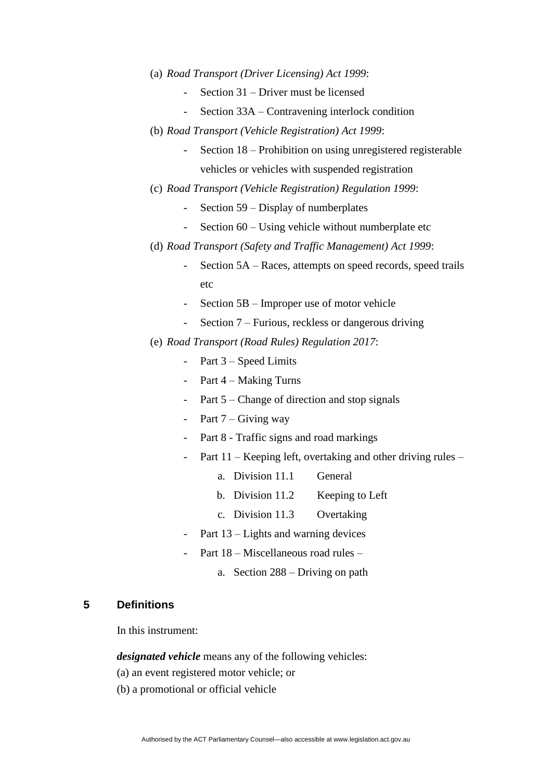- (a) *Road Transport (Driver Licensing) Act 1999*:
	- Section 31 Driver must be licensed
	- Section 33A Contravening interlock condition
- (b) *Road Transport (Vehicle Registration) Act 1999*:
	- Section 18 Prohibition on using unregistered registerable vehicles or vehicles with suspended registration
- (c) *Road Transport (Vehicle Registration) Regulation 1999*:
	- Section 59 Display of numberplates
	- Section 60 Using vehicle without numberplate etc
- (d) *Road Transport (Safety and Traffic Management) Act 1999*:
	- Section 5A Races, attempts on speed records, speed trails etc
	- Section 5B Improper use of motor vehicle
	- Section 7 Furious, reckless or dangerous driving
- (e) *Road Transport (Road Rules) Regulation 2017*:
	- Part  $3 Speed$  Limits
	- Part 4 Making Turns
	- Part 5 Change of direction and stop signals
	- Part  $7 -$  Giving way
	- Part 8 Traffic signs and road markings
	- Part 11 Keeping left, overtaking and other driving rules
		- a. Division 11.1 General
		- b. Division 11.2 Keeping to Left
		- c. Division 11.3 Overtaking
	- Part  $13$  Lights and warning devices
	- Part 18 Miscellaneous road rules
		- a. Section 288 Driving on path

# **5 Definitions**

In this instrument:

*designated vehicle* means any of the following vehicles:

- (a) an event registered motor vehicle; or
- (b) a promotional or official vehicle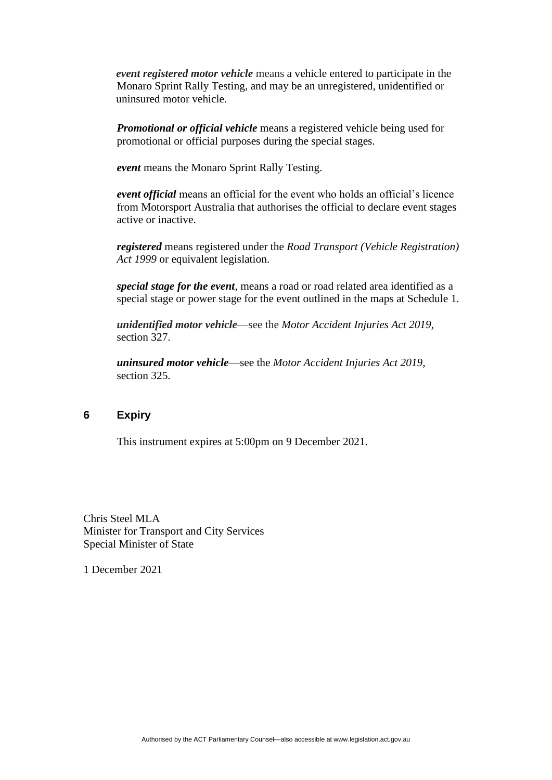*event registered motor vehicle* means a vehicle entered to participate in the Monaro Sprint Rally Testing, and may be an unregistered, unidentified or uninsured motor vehicle.

*Promotional or official vehicle* means a registered vehicle being used for promotional or official purposes during the special stages.

*event* means the Monaro Sprint Rally Testing.

*event official* means an official for the event who holds an official's licence from Motorsport Australia that authorises the official to declare event stages active or inactive.

*registered* means registered under the *Road Transport (Vehicle Registration) Act 1999* or equivalent legislation.

*special stage for the event*, means a road or road related area identified as a special stage or power stage for the event outlined in the maps at Schedule 1.

*unidentified motor vehicle*—see the *Motor Accident Injuries Act 2019,*  section 327.

*uninsured motor vehicle*—see the *Motor Accident Injuries Act 2019,*  section 325.

## **6 Expiry**

This instrument expires at 5:00pm on 9 December 2021.

Chris Steel MLA Minister for Transport and City Services Special Minister of State

1 December 2021